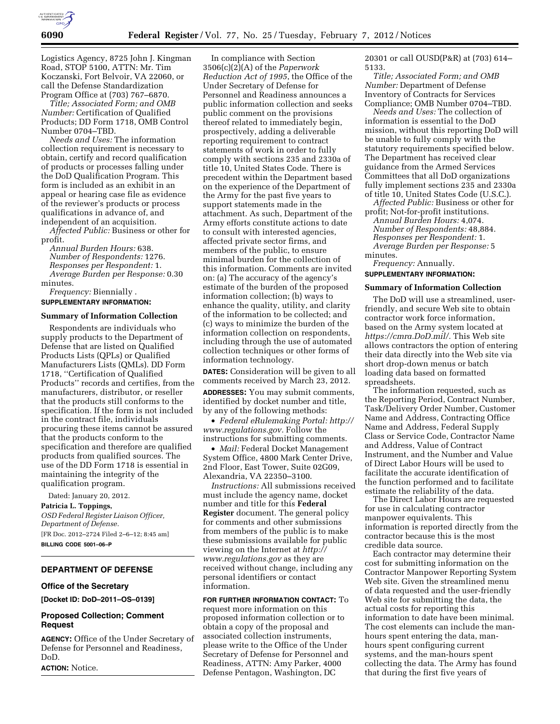

Logistics Agency, 8725 John J. Kingman Road, STOP 5100, ATTN: Mr. Tim Koczanski, Fort Belvoir, VA 22060, or call the Defense Standardization Program Office at (703) 767–6870.

*Title; Associated Form; and OMB Number:* Certification of Qualified Products; DD Form 1718, OMB Control Number 0704–TBD.

*Needs and Uses:* The information collection requirement is necessary to obtain, certify and record qualification of products or processes falling under the DoD Qualification Program. This form is included as an exhibit in an appeal or hearing case file as evidence of the reviewer's products or process qualifications in advance of, and independent of an acquisition.

*Affected Public:* Business or other for profit.

*Annual Burden Hours:* 638. *Number of Respondents:* 1276. *Responses per Respondent:* 1. *Average Burden per Response:* 0.30 minutes.

*Frequency:* Biennially . **SUPPLEMENTARY INFORMATION:** 

#### **Summary of Information Collection**

Respondents are individuals who supply products to the Department of Defense that are listed on Qualified Products Lists (QPLs) or Qualified Manufacturers Lists (QMLs). DD Form 1718, ''Certification of Qualified Products'' records and certifies, from the manufacturers, distributor, or reseller that the products still conforms to the specification. If the form is not included in the contract file, individuals procuring these items cannot be assured that the products conform to the specification and therefore are qualified products from qualified sources. The use of the DD Form 1718 is essential in maintaining the integrity of the qualification program.

Dated: January 20, 2012. **Patricia L. Toppings,**  *OSD Federal Register Liaison Officer, Department of Defense.*  [FR Doc. 2012–2724 Filed 2–6–12; 8:45 am] **BILLING CODE 5001–06–P** 

# **DEPARTMENT OF DEFENSE**

### **Office of the Secretary**

**[Docket ID: DoD–2011–OS–0139]** 

# **Proposed Collection; Comment Request**

**AGENCY:** Office of the Under Secretary of Defense for Personnel and Readiness, DoD.

**ACTION:** Notice.

In compliance with Section 3506(c)(2)(A) of the *Paperwork Reduction Act of 1995*, the Office of the Under Secretary of Defense for Personnel and Readiness announces a public information collection and seeks public comment on the provisions thereof related to immediately begin, prospectively, adding a deliverable reporting requirement to contract statements of work in order to fully comply with sections 235 and 2330a of title 10, United States Code. There is precedent within the Department based on the experience of the Department of the Army for the past five years to support statements made in the attachment. As such, Department of the Army efforts constitute actions to date to consult with interested agencies, affected private sector firms, and members of the public, to ensure minimal burden for the collection of this information. Comments are invited on: (a) The accuracy of the agency's estimate of the burden of the proposed information collection; (b) ways to enhance the quality, utility, and clarity of the information to be collected; and (c) ways to minimize the burden of the information collection on respondents, including through the use of automated collection techniques or other forms of information technology.

**DATES:** Consideration will be given to all comments received by March 23, 2012.

**ADDRESSES:** You may submit comments, identified by docket number and title, by any of the following methods:

• *Federal eRulemaking Portal: [http://](http://www.regulations.gov)  [www.regulations.gov.](http://www.regulations.gov)* Follow the instructions for submitting comments.

• *Mail:* Federal Docket Management System Office, 4800 Mark Center Drive, 2nd Floor, East Tower, Suite 02G09, Alexandria, VA 22350–3100.

*Instructions:* All submissions received must include the agency name, docket number and title for this **Federal Register** document. The general policy for comments and other submissions from members of the public is to make these submissions available for public viewing on the Internet at *[http://](http://www.regulations.gov) [www.regulations.gov](http://www.regulations.gov)* as they are received without change, including any personal identifiers or contact information.

**FOR FURTHER INFORMATION CONTACT:** To request more information on this proposed information collection or to obtain a copy of the proposal and associated collection instruments, please write to the Office of the Under Secretary of Defense for Personnel and Readiness, ATTN: Amy Parker, 4000 Defense Pentagon, Washington, DC

20301 or call OUSD(P&R) at (703) 614– 5133.

*Title; Associated Form; and OMB Number:* Department of Defense Inventory of Contracts for Services Compliance; OMB Number 0704–TBD.

*Needs and Uses:* The collection of information is essential to the DoD mission, without this reporting DoD will be unable to fully comply with the statutory requirements specified below. The Department has received clear guidance from the Armed Services Committees that all DoD organizations fully implement sections 235 and 2330a of title 10, United States Code (U.S.C.).

*Affected Public:* Business or other for profit; Not-for-profit institutions.

*Annual Burden Hours:* 4,074. *Number of Respondents:* 48,884. *Responses per Respondent:* 1. *Average Burden per Response:* 5 minutes.

*Frequency:* Annually.

### **SUPPLEMENTARY INFORMATION:**

### **Summary of Information Collection**

The DoD will use a streamlined, userfriendly, and secure Web site to obtain contractor work force information, based on the Army system located at *[https://cmra.DoD.mil/.](https://cmra.DoD.mil/)* This Web site allows contractors the option of entering their data directly into the Web site via short drop-down menus or batch loading data based on formatted spreadsheets.

The information requested, such as the Reporting Period, Contract Number, Task/Delivery Order Number, Customer Name and Address, Contracting Office Name and Address, Federal Supply Class or Service Code, Contractor Name and Address, Value of Contract Instrument, and the Number and Value of Direct Labor Hours will be used to facilitate the accurate identification of the function performed and to facilitate estimate the reliability of the data.

The Direct Labor Hours are requested for use in calculating contractor manpower equivalents. This information is reported directly from the contractor because this is the most credible data source.

Each contractor may determine their cost for submitting information on the Contractor Manpower Reporting System Web site. Given the streamlined menu of data requested and the user-friendly Web site for submitting the data, the actual costs for reporting this information to date have been minimal. The cost elements can include the manhours spent entering the data, manhours spent configuring current systems, and the man-hours spent collecting the data. The Army has found that during the first five years of